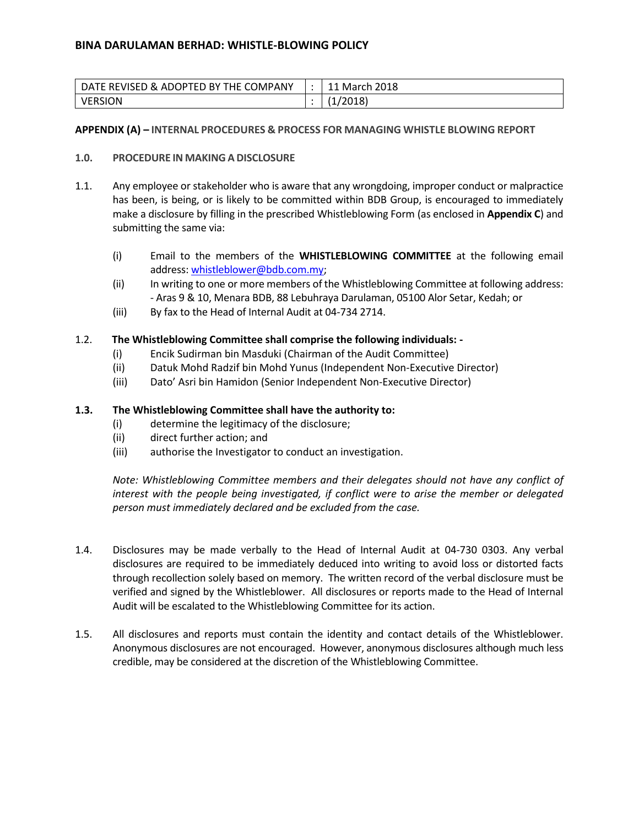| DATE REVISED & ADOPTED BY THE COMPANY | March 2018 |
|---------------------------------------|------------|
| VERSION                               | 2018)      |

#### **APPENDIX (A) – INTERNAL PROCEDURES & PROCESS FOR MANAGING WHISTLE BLOWING REPORT**

#### **1.0. PROCEDURE IN MAKINGA DISCLOSURE**

- 1.1. Any employee or stakeholder who is aware that any wrongdoing, improper conduct or malpractice has been, is being, or is likely to be committed within BDB Group, is encouraged to immediately make a disclosure by filling in the prescribed Whistleblowing Form (as enclosed in **Appendix C**) and submitting the same via:
	- (i) Email to the members of the **WHISTLEBLOWING COMMITTEE** at the following email address: [whistleblower@bdb.com.my;](mailto:whistleblower@bdb.com.my)
	- (ii) In writing to one or more members of the Whistleblowing Committee at following address: - Aras 9 & 10, Menara BDB, 88 Lebuhraya Darulaman, 05100 Alor Setar, Kedah; or
	- (iii) By fax to the Head of Internal Audit at 04-734 2714.

#### 1.2. **The Whistleblowing Committee shall comprise the following individuals: -**

- (i) Encik Sudirman bin Masduki (Chairman of the Audit Committee)
- (ii) Datuk Mohd Radzif bin Mohd Yunus (Independent Non-Executive Director)
- (iii) Dato' Asri bin Hamidon (Senior Independent Non-Executive Director)

#### **1.3. The Whistleblowing Committee shall have the authority to:**

- (i) determine the legitimacy of the disclosure;
- (ii) direct further action; and
- (iii) authorise the Investigator to conduct an investigation.

*Note: Whistleblowing Committee members and their delegates should not have any conflict of interest with the people being investigated, if conflict were to arise the member or delegated person must immediately declared and be excluded from the case.* 

- 1.4. Disclosures may be made verbally to the Head of Internal Audit at 04-730 0303. Any verbal disclosures are required to be immediately deduced into writing to avoid loss or distorted facts through recollection solely based on memory. The written record of the verbal disclosure must be verified and signed by the Whistleblower. All disclosures or reports made to the Head of Internal Audit will be escalated to the Whistleblowing Committee for its action.
- 1.5. All disclosures and reports must contain the identity and contact details of the Whistleblower. Anonymous disclosures are not encouraged. However, anonymous disclosures although much less credible, may be considered at the discretion of the Whistleblowing Committee.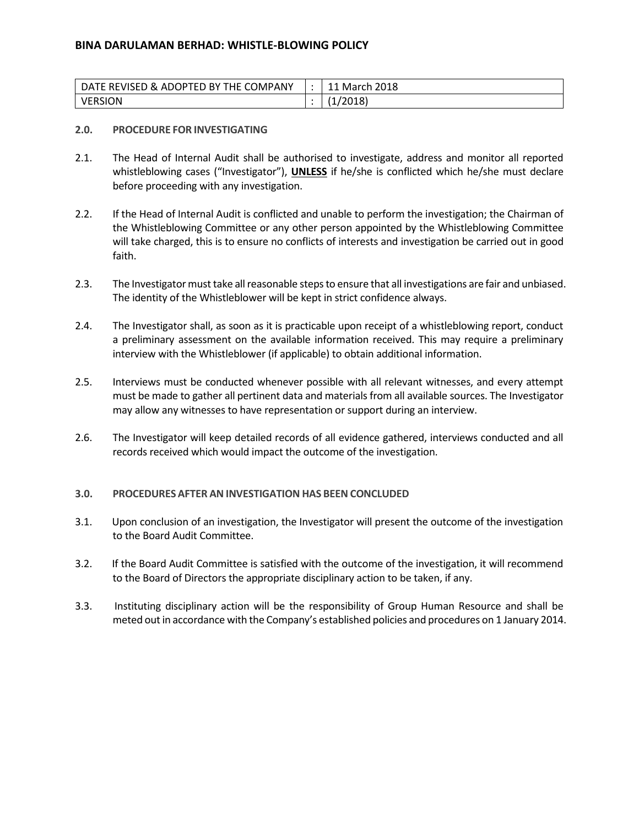| DATE REVISED & ADOPTED BY THE COMPANY | March 2018. |
|---------------------------------------|-------------|
| <b>VERSION</b>                        | '2018)      |

#### **2.0. PROCEDURE FOR INVESTIGATING**

- 2.1. The Head of Internal Audit shall be authorised to investigate, address and monitor all reported whistleblowing cases ("Investigator"), **UNLESS** if he/she is conflicted which he/she must declare before proceeding with any investigation.
- 2.2. If the Head of Internal Audit is conflicted and unable to perform the investigation; the Chairman of the Whistleblowing Committee or any other person appointed by the Whistleblowing Committee will take charged, this is to ensure no conflicts of interests and investigation be carried out in good faith.
- 2.3. The Investigator must take all reasonable steps to ensure that all investigations are fair and unbiased. The identity of the Whistleblower will be kept in strict confidence always.
- 2.4. The Investigator shall, as soon as it is practicable upon receipt of a whistleblowing report, conduct a preliminary assessment on the available information received. This may require a preliminary interview with the Whistleblower (if applicable) to obtain additional information.
- 2.5. Interviews must be conducted whenever possible with all relevant witnesses, and every attempt must be made to gather all pertinent data and materials from all available sources. The Investigator may allow any witnesses to have representation or support during an interview.
- 2.6. The Investigator will keep detailed records of all evidence gathered, interviews conducted and all records received which would impact the outcome of the investigation.

#### **3.0. PROCEDURES AFTER AN INVESTIGATION HAS BEEN CONCLUDED**

- 3.1. Upon conclusion of an investigation, the Investigator will present the outcome of the investigation to the Board Audit Committee.
- 3.2. If the Board Audit Committee is satisfied with the outcome of the investigation, it will recommend to the Board of Directors the appropriate disciplinary action to be taken, if any.
- 3.3. Instituting disciplinary action will be the responsibility of Group Human Resource and shall be meted out in accordance with the Company's established policies and procedures on 1 January 2014.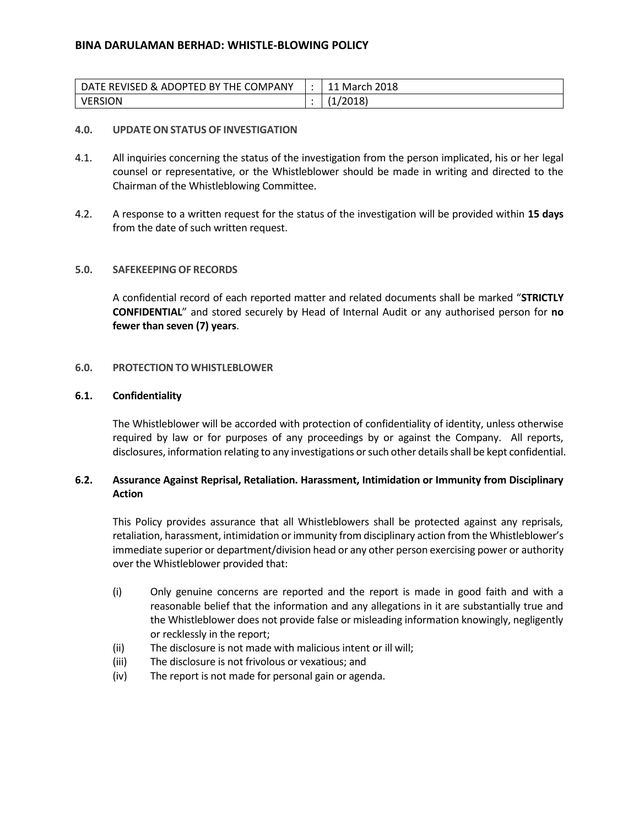| DATE REVISED & ADOPTED BY THE COMPANY | March 2018 |
|---------------------------------------|------------|
| VERSION                               | (2018)     |

#### **4.0. UPDATEON STATUS OF INVESTIGATION**

- 4.1. All inquiries concerning the status of the investigation from the person implicated, his or her legal counsel or representative, or the Whistleblower should be made in writing and directed to the Chairman of the Whistleblowing Committee.
- 4.2. A response to a written request for the status of the investigation will be provided within **15 days** from the date of such written request.

#### **5.0. SAFEKEEPINGOF RECORDS**

A confidential record of each reported matter and related documents shall be marked "**STRICTLY CONFIDENTIAL**" and stored securely by Head of Internal Audit or any authorised person for **no fewer than seven (7) years**.

#### **6.0. PROTECTION TO WHISTLEBLOWER**

#### **6.1. Confidentiality**

The Whistleblower will be accorded with protection of confidentiality of identity, unless otherwise required by law or for purposes of any proceedings by or against the Company. All reports, disclosures, information relating to any investigations or such other details shall be kept confidential.

### **6.2. Assurance Against Reprisal, Retaliation. Harassment, Intimidation or Immunity from Disciplinary Action**

This Policy provides assurance that all Whistleblowers shall be protected against any reprisals, retaliation, harassment, intimidation or immunity from disciplinary action from the Whistleblower's immediate superior or department/division head or any other person exercising power or authority over the Whistleblower provided that:

- (i) Only genuine concerns are reported and the report is made in good faith and with a reasonable belief that the information and any allegations in it are substantially true and the Whistleblower does not provide false or misleading information knowingly, negligently or recklessly in the report;
- (ii) The disclosure is not made with malicious intent or ill will;
- (iii) The disclosure is not frivolous or vexatious; and
- (iv) The report is not made for personal gain or agenda.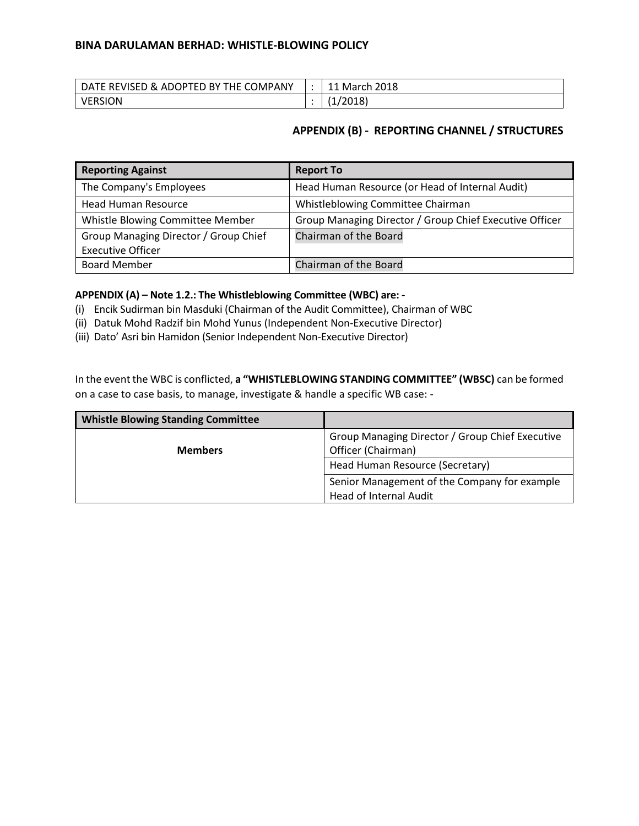| DATE REVISED & ADOPTED BY THE COMPANY | March 2018 |
|---------------------------------------|------------|
| <b>VERSION</b>                        | /2018)     |

### **APPENDIX (B) - REPORTING CHANNEL / STRUCTURES**

| <b>Reporting Against</b>              | <b>Report To</b>                                        |
|---------------------------------------|---------------------------------------------------------|
| The Company's Employees               | Head Human Resource (or Head of Internal Audit)         |
| <b>Head Human Resource</b>            | Whistleblowing Committee Chairman                       |
| Whistle Blowing Committee Member      | Group Managing Director / Group Chief Executive Officer |
| Group Managing Director / Group Chief | Chairman of the Board                                   |
| <b>Executive Officer</b>              |                                                         |
| <b>Board Member</b>                   | Chairman of the Board                                   |

### **APPENDIX (A) – Note 1.2.: The Whistleblowing Committee (WBC) are: -**

- (i) Encik Sudirman bin Masduki (Chairman of the Audit Committee), Chairman of WBC
- (ii) Datuk Mohd Radzif bin Mohd Yunus (Independent Non-Executive Director)
- (iii) Dato' Asri bin Hamidon (Senior Independent Non-Executive Director)

In the event the WBC is conflicted, **a "WHISTLEBLOWING STANDING COMMITTEE" (WBSC)** can be formed on a case to case basis, to manage, investigate & handle a specific WB case: -

| <b>Whistle Blowing Standing Committee</b> |                                                                                                          |
|-------------------------------------------|----------------------------------------------------------------------------------------------------------|
| <b>Members</b>                            | Group Managing Director / Group Chief Executive<br>Officer (Chairman)<br>Head Human Resource (Secretary) |
|                                           | Senior Management of the Company for example<br>Head of Internal Audit                                   |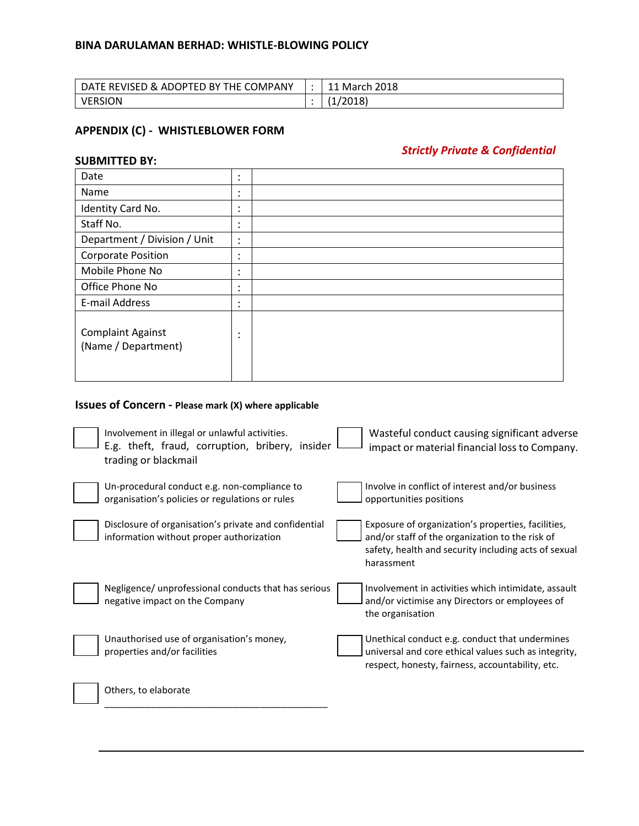| DATE REVISED & ADOPTED BY THE COMPANY | March 2018          |
|---------------------------------------|---------------------|
| VERSION                               | (2018)<br>$\cdot$ . |

# **APPENDIX (C) - WHISTLEBLOWER FORM**

**SUBMITTED BY:**

# *Strictly Private & Confidential*

| Date                                            | ٠<br>$\bullet$ |  |
|-------------------------------------------------|----------------|--|
| Name                                            | ٠<br>$\bullet$ |  |
| Identity Card No.                               | ٠<br>$\bullet$ |  |
| Staff No.                                       | ٠<br>$\bullet$ |  |
| Department / Division / Unit                    | ٠<br>$\cdot$   |  |
| <b>Corporate Position</b>                       | ٠<br>$\bullet$ |  |
| Mobile Phone No                                 | ٠<br>$\bullet$ |  |
| Office Phone No                                 | ٠<br>$\bullet$ |  |
| E-mail Address                                  | ٠<br>$\bullet$ |  |
| <b>Complaint Against</b><br>(Name / Department) | ٠<br>٠         |  |

# **Issues of Concern - Please mark (X) where applicable**

| Involvement in illegal or unlawful activities.<br>E.g. theft, fraud, corruption, bribery, insider<br>trading or blackmail | Wasteful conduct causing significant adverse<br>impact or material financial loss to Company.                                                                               |
|---------------------------------------------------------------------------------------------------------------------------|-----------------------------------------------------------------------------------------------------------------------------------------------------------------------------|
| Un-procedural conduct e.g. non-compliance to<br>organisation's policies or regulations or rules                           | Involve in conflict of interest and/or business<br>opportunities positions                                                                                                  |
| Disclosure of organisation's private and confidential<br>information without proper authorization                         | Exposure of organization's properties, facilities,<br>and/or staff of the organization to the risk of<br>safety, health and security including acts of sexual<br>harassment |
| Negligence/ unprofessional conducts that has serious<br>negative impact on the Company                                    | Involvement in activities which intimidate, assault<br>and/or victimise any Directors or employees of<br>the organisation                                                   |
| Unauthorised use of organisation's money,<br>properties and/or facilities                                                 | Unethical conduct e.g. conduct that undermines<br>universal and core ethical values such as integrity,<br>respect, honesty, fairness, accountability, etc.                  |
| Others, to elaborate                                                                                                      |                                                                                                                                                                             |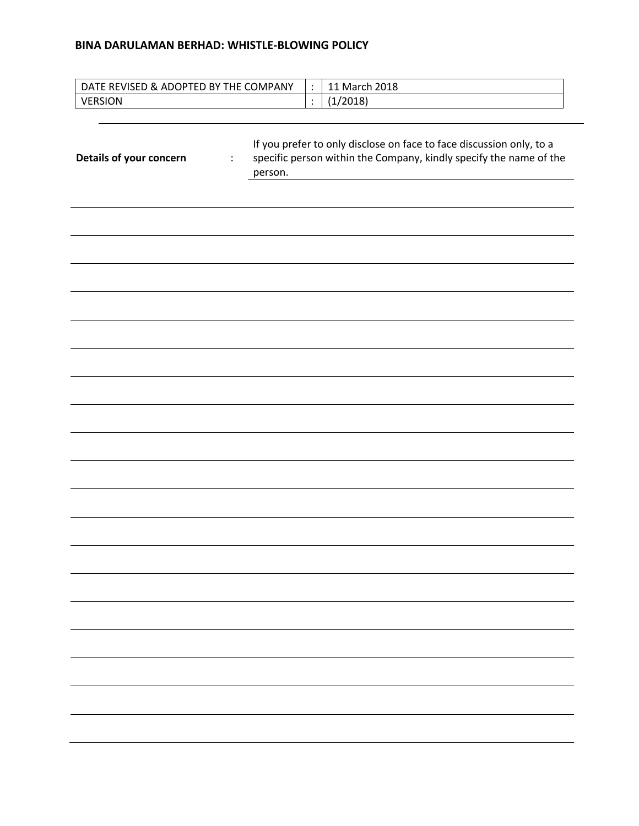|                                           | DATE REVISED & ADOPTED BY THE COMPANY<br>$\ddot{\cdot}$ | 11 March 2018                                                                                                                              |
|-------------------------------------------|---------------------------------------------------------|--------------------------------------------------------------------------------------------------------------------------------------------|
| <b>VERSION</b>                            | $\ddot{\cdot}$                                          | (1/2018)                                                                                                                                   |
|                                           |                                                         |                                                                                                                                            |
| Details of your concern<br>$\ddot{\cdot}$ | person.                                                 | If you prefer to only disclose on face to face discussion only, to a<br>specific person within the Company, kindly specify the name of the |
|                                           |                                                         |                                                                                                                                            |
|                                           |                                                         |                                                                                                                                            |
|                                           |                                                         |                                                                                                                                            |
|                                           |                                                         |                                                                                                                                            |
|                                           |                                                         |                                                                                                                                            |
|                                           |                                                         |                                                                                                                                            |
|                                           |                                                         |                                                                                                                                            |
|                                           |                                                         |                                                                                                                                            |
|                                           |                                                         |                                                                                                                                            |
|                                           |                                                         |                                                                                                                                            |
|                                           |                                                         |                                                                                                                                            |
|                                           |                                                         |                                                                                                                                            |
|                                           |                                                         |                                                                                                                                            |
|                                           |                                                         |                                                                                                                                            |
|                                           |                                                         |                                                                                                                                            |
|                                           |                                                         |                                                                                                                                            |